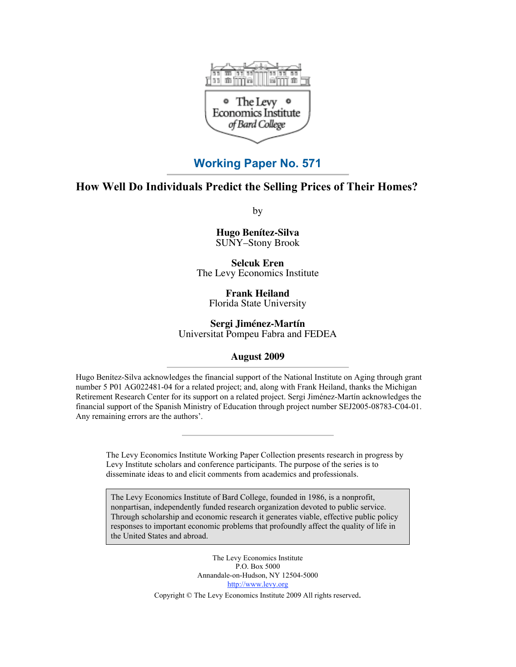

### **Working Paper No. 571**

### **How Well Do Individuals Predict the Selling Prices of Their Homes?**

by

**Hugo Benítez-Silva** SUNY–Stony Brook

**Selcuk Eren** The Levy Economics Institute

> **Frank Heiland** Florida State University

**Sergi Jiménez-Martín** Universitat Pompeu Fabra and FEDEA

#### **August 2009**

Hugo Benítez-Silva acknowledges the financial support of the National Institute on Aging through grant number 5 P01 AG022481-04 for a related project; and, along with Frank Heiland, thanks the Michigan Retirement Research Center for its support on a related project. Sergi Jiménez-Martín acknowledges the financial support of the Spanish Ministry of Education through project number SEJ2005-08783-C04-01. Any remaining errors are the authors'.

The Levy Economics Institute Working Paper Collection presents research in progress by Levy Institute scholars and conference participants. The purpose of the series is to disseminate ideas to and elicit comments from academics and professionals.

The Levy Economics Institute of Bard College, founded in 1986, is a nonprofit, nonpartisan, independently funded research organization devoted to public service. Through scholarship and economic research it generates viable, effective public policy responses to important economic problems that profoundly affect the quality of life in the United States and abroad.

> The Levy Economics Institute P.O. Box 5000 Annandale-on-Hudson, NY 12504-5000 <http://www.levy.org> Copyright © The Levy Economics Institute 2009 All rights reserved.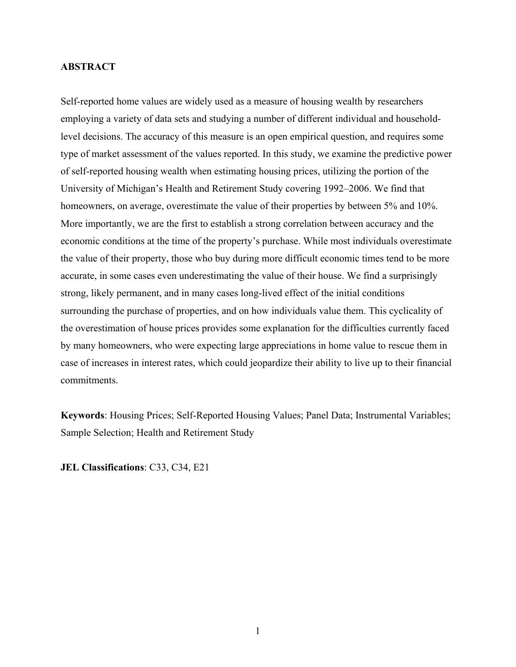### **ABSTRACT**

Self-reported home values are widely used as a measure of housing wealth by researchers employing a variety of data sets and studying a number of different individual and householdlevel decisions. The accuracy of this measure is an open empirical question, and requires some type of market assessment of the values reported. In this study, we examine the predictive power of self-reported housing wealth when estimating housing prices, utilizing the portion of the University of Michigan's Health and Retirement Study covering 1992–2006. We find that homeowners, on average, overestimate the value of their properties by between 5% and 10%. More importantly, we are the first to establish a strong correlation between accuracy and the economic conditions at the time of the property's purchase. While most individuals overestimate the value of their property, those who buy during more difficult economic times tend to be more accurate, in some cases even underestimating the value of their house. We find a surprisingly strong, likely permanent, and in many cases long-lived effect of the initial conditions surrounding the purchase of properties, and on how individuals value them. This cyclicality of the overestimation of house prices provides some explanation for the difficulties currently faced by many homeowners, who were expecting large appreciations in home value to rescue them in case of increases in interest rates, which could jeopardize their ability to live up to their financial commitments.

**Keywords**: Housing Prices; Self-Reported Housing Values; Panel Data; Instrumental Variables; Sample Selection; Health and Retirement Study

**JEL Classifications**: C33, C34, E21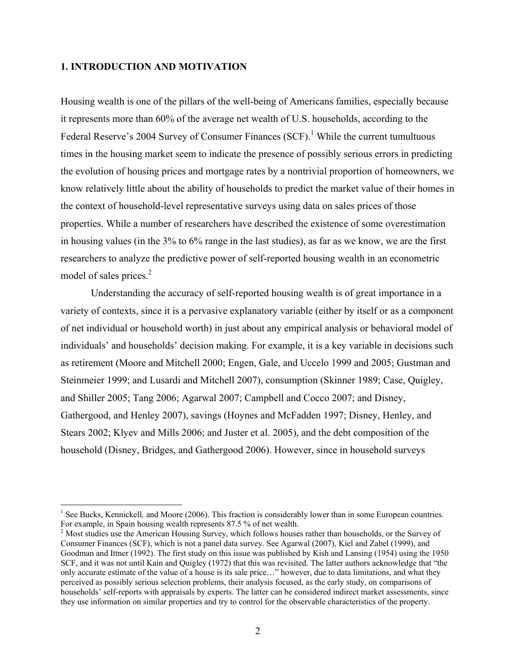#### **1. INTRODUCTION AND MOTIVATION**

 $\overline{a}$ 

Housing wealth is one of the pillars of the well-being of Americans families, especially because it represents more than 60% of the average net wealth of U.S. households, according to the Federal Reserve's 2004 Survey of Consumer Finances (SCF).<sup>1</sup> While the current tumultuous times in the housing market seem to indicate the presence of possibly serious errors in predicting the evolution of housing prices and mortgage rates by a nontrivial proportion of homeowners, we know relatively little about the ability of households to predict the market value of their homes in the context of household-level representative surveys using data on sales prices of those properties. While a number of researchers have described the existence of some overestimation in housing values (in the 3% to 6% range in the last studies), as far as we know, we are the first researchers to analyze the predictive power of self-reported housing wealth in an econometric model of sales prices.<sup>2</sup>

Understanding the accuracy of self-reported housing wealth is of great importance in a variety of contexts, since it is a pervasive explanatory variable (either by itself or as a component of net individual or household worth) in just about any empirical analysis or behavioral model of individuals' and households' decision making. For example, it is a key variable in decisions such as retirement (Moore and Mitchell 2000; Engen, Gale, and Uccelo 1999 and 2005; Gustman and Steinmeier 1999; and Lusardi and Mitchell 2007), consumption (Skinner 1989; Case, Quigley, and Shiller 2005; Tang 2006; Agarwal 2007; Campbell and Cocco 2007; and Disney, Gathergood, and Henley 2007), savings (Hoynes and McFadden 1997; Disney, Henley, and Stears 2002; Klyev and Mills 2006; and Juster et al. 2005), and the debt composition of the household (Disney, Bridges, and Gathergood 2006). However, since in household surveys

<sup>&</sup>lt;sup>1</sup> See Bucks, Kennickell, and Moore (2006). This fraction is considerably lower than in some European countries. For example, in Spain housing wealth represents 87.5 % of net wealth.

<sup>&</sup>lt;sup>2</sup> Most studies use the American Housing Survey, which follows houses rather than households, or the Survey of Consumer Finances (SCF), which is not a panel data survey. See Agarwal (2007), Kiel and Zabel (1999), and Goodman and Ittner (1992). The first study on this issue was published by Kish and Lansing (1954) using the 1950 SCF, and it was not until Kain and Quigley (1972) that this was revisited. The latter authors acknowledge that "the only accurate estimate of the value of a house is its sale price…" however, due to data limitations, and what they perceived as possibly serious selection problems, their analysis focused, as the early study, on comparisons of households' self-reports with appraisals by experts. The latter can be considered indirect market assessments, since they use information on similar properties and try to control for the observable characteristics of the property.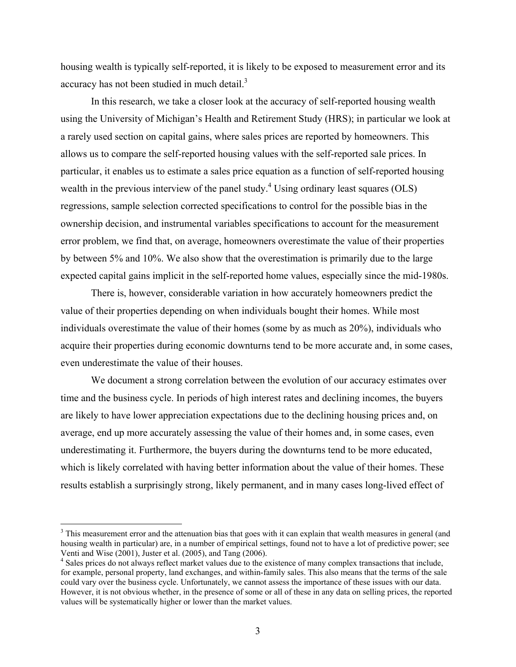housing wealth is typically self-reported, it is likely to be exposed to measurement error and its accuracy has not been studied in much detail. $3$ 

In this research, we take a closer look at the accuracy of self-reported housing wealth using the University of Michigan's Health and Retirement Study (HRS); in particular we look at a rarely used section on capital gains, where sales prices are reported by homeowners. This allows us to compare the self-reported housing values with the self-reported sale prices. In particular, it enables us to estimate a sales price equation as a function of self-reported housing wealth in the previous interview of the panel study.<sup>4</sup> Using ordinary least squares  $(OLS)$ regressions, sample selection corrected specifications to control for the possible bias in the ownership decision, and instrumental variables specifications to account for the measurement error problem, we find that, on average, homeowners overestimate the value of their properties by between 5% and 10%. We also show that the overestimation is primarily due to the large expected capital gains implicit in the self-reported home values, especially since the mid-1980s.

There is, however, considerable variation in how accurately homeowners predict the value of their properties depending on when individuals bought their homes. While most individuals overestimate the value of their homes (some by as much as 20%), individuals who acquire their properties during economic downturns tend to be more accurate and, in some cases, even underestimate the value of their houses.

We document a strong correlation between the evolution of our accuracy estimates over time and the business cycle. In periods of high interest rates and declining incomes, the buyers are likely to have lower appreciation expectations due to the declining housing prices and, on average, end up more accurately assessing the value of their homes and, in some cases, even underestimating it. Furthermore, the buyers during the downturns tend to be more educated, which is likely correlated with having better information about the value of their homes. These results establish a surprisingly strong, likely permanent, and in many cases long-lived effect of

 $3$  This measurement error and the attenuation bias that goes with it can explain that wealth measures in general (and housing wealth in particular) are, in a number of empirical settings, found not to have a lot of predictive power; see Venti and Wise (2001), Juster et al. (2005), and Tang (2006).

<sup>&</sup>lt;sup>4</sup> Sales prices do not always reflect market values due to the existence of many complex transactions that include, for example, personal property, land exchanges, and within-family sales. This also means that the terms of the sale could vary over the business cycle. Unfortunately, we cannot assess the importance of these issues with our data. However, it is not obvious whether, in the presence of some or all of these in any data on selling prices, the reported values will be systematically higher or lower than the market values.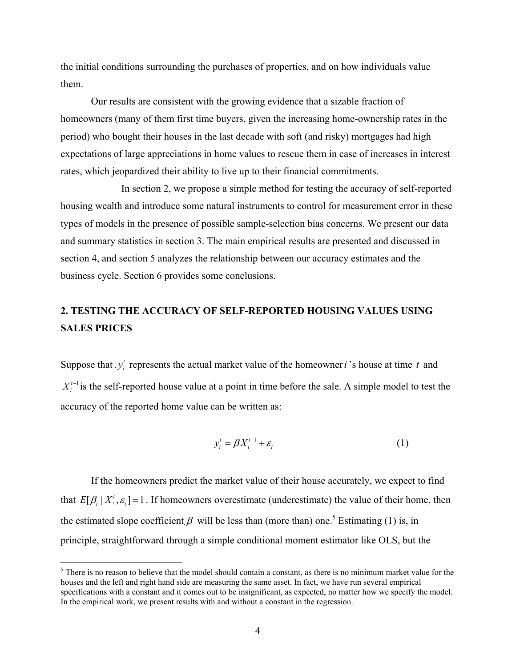the initial conditions surrounding the purchases of properties, and on how individuals value them.

Our results are consistent with the growing evidence that a sizable fraction of homeowners (many of them first time buyers, given the increasing home-ownership rates in the period) who bought their houses in the last decade with soft (and risky) mortgages had high expectations of large appreciations in home values to rescue them in case of increases in interest rates, which jeopardized their ability to live up to their financial commitments.

 In section 2, we propose a simple method for testing the accuracy of self-reported housing wealth and introduce some natural instruments to control for measurement error in these types of models in the presence of possible sample-selection bias concerns. We present our data and summary statistics in section 3. The main empirical results are presented and discussed in section 4, and section 5 analyzes the relationship between our accuracy estimates and the business cycle. Section 6 provides some conclusions.

## **2. TESTING THE ACCURACY OF SELF-REPORTED HOUSING VALUES USING SALES PRICES**

Suppose that  $y_i^t$  represents the actual market value of the homeowner *i* 's house at time *t* and  $X_i^{t-1}$  is the self-reported house value at a point in time before the sale. A simple model to test the accuracy of the reported home value can be written as:

$$
y_i^t = \beta X_i^{t-1} + \varepsilon_i \tag{1}
$$

If the homeowners predict the market value of their house accurately, we expect to find that  $E[\beta_i | X_i^t, \varepsilon_i] = 1$ . If homeowners overestimate (underestimate) the value of their home, then the estimated slope coefficient  $\beta$  will be less than (more than) one.<sup>5</sup> Estimating (1) is, in principle, straightforward through a simple conditional moment estimator like OLS, but the

<sup>&</sup>lt;sup>5</sup>There is no reason to believe that the model should contain a constant, as there is no minimum market value for the houses and the left and right hand side are measuring the same asset. In fact, we have run several empirical specifications with a constant and it comes out to be insignificant, as expected, no matter how we specify the model. In the empirical work, we present results with and without a constant in the regression.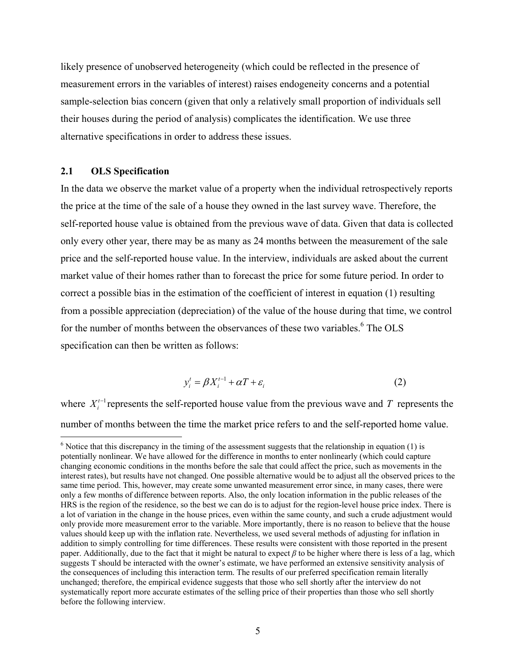likely presence of unobserved heterogeneity (which could be reflected in the presence of measurement errors in the variables of interest) raises endogeneity concerns and a potential sample-selection bias concern (given that only a relatively small proportion of individuals sell their houses during the period of analysis) complicates the identification. We use three alternative specifications in order to address these issues.

#### **2.1 OLS Specification**

1

In the data we observe the market value of a property when the individual retrospectively reports the price at the time of the sale of a house they owned in the last survey wave. Therefore, the self-reported house value is obtained from the previous wave of data. Given that data is collected only every other year, there may be as many as 24 months between the measurement of the sale price and the self-reported house value. In the interview, individuals are asked about the current market value of their homes rather than to forecast the price for some future period. In order to correct a possible bias in the estimation of the coefficient of interest in equation (1) resulting from a possible appreciation (depreciation) of the value of the house during that time, we control for the number of months between the observances of these two variables.<sup>6</sup> The OLS specification can then be written as follows:

$$
y_i^t = \beta X_i^{t-1} + \alpha T + \varepsilon_i \tag{2}
$$

where  $X_i^{t-1}$  represents the self-reported house value from the previous wave and *T* represents the number of months between the time the market price refers to and the self-reported home value.

 $6$  Notice that this discrepancy in the timing of the assessment suggests that the relationship in equation (1) is potentially nonlinear. We have allowed for the difference in months to enter nonlinearly (which could capture changing economic conditions in the months before the sale that could affect the price, such as movements in the interest rates), but results have not changed. One possible alternative would be to adjust all the observed prices to the same time period. This, however, may create some unwanted measurement error since, in many cases, there were only a few months of difference between reports. Also, the only location information in the public releases of the HRS is the region of the residence, so the best we can do is to adjust for the region-level house price index. There is a lot of variation in the change in the house prices, even within the same county, and such a crude adjustment would only provide more measurement error to the variable. More importantly, there is no reason to believe that the house values should keep up with the inflation rate. Nevertheless, we used several methods of adjusting for inflation in addition to simply controlling for time differences. These results were consistent with those reported in the present paper. Additionally, due to the fact that it might be natural to expect  $\beta$  to be higher where there is less of a lag, which suggests T should be interacted with the owner's estimate, we have performed an extensive sensitivity analysis of the consequences of including this interaction term. The results of our preferred specification remain literally unchanged; therefore, the empirical evidence suggests that those who sell shortly after the interview do not systematically report more accurate estimates of the selling price of their properties than those who sell shortly before the following interview.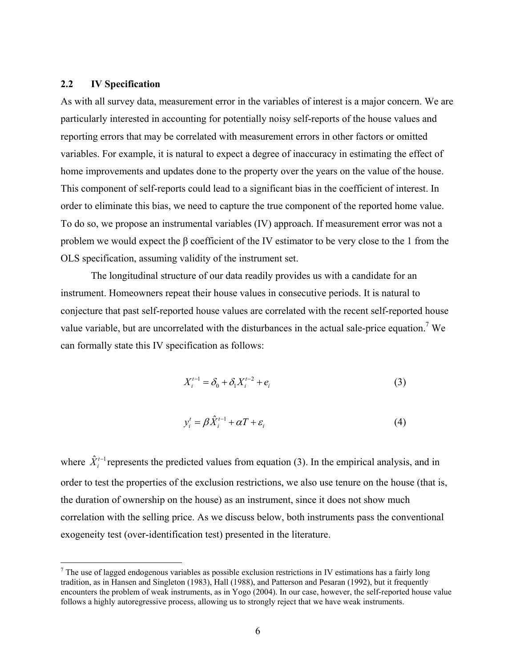### **2.2 IV Specification**

As with all survey data, measurement error in the variables of interest is a major concern. We are particularly interested in accounting for potentially noisy self-reports of the house values and reporting errors that may be correlated with measurement errors in other factors or omitted variables. For example, it is natural to expect a degree of inaccuracy in estimating the effect of home improvements and updates done to the property over the years on the value of the house. This component of self-reports could lead to a significant bias in the coefficient of interest. In order to eliminate this bias, we need to capture the true component of the reported home value. To do so, we propose an instrumental variables (IV) approach. If measurement error was not a problem we would expect the β coefficient of the IV estimator to be very close to the 1 from the OLS specification, assuming validity of the instrument set.

The longitudinal structure of our data readily provides us with a candidate for an instrument. Homeowners repeat their house values in consecutive periods. It is natural to conjecture that past self-reported house values are correlated with the recent self-reported house value variable, but are uncorrelated with the disturbances in the actual sale-price equation.<sup>7</sup> We can formally state this IV specification as follows:

$$
X_i^{t-1} = \delta_0 + \delta_1 X_i^{t-2} + e_i
$$
 (3)

$$
y_i^t = \beta \hat{X}_i^{t-1} + \alpha T + \varepsilon_i
$$
 (4)

where  $\hat{X}_{i}^{t-1}$  represents the predicted values from equation (3). In the empirical analysis, and in order to test the properties of the exclusion restrictions, we also use tenure on the house (that is, the duration of ownership on the house) as an instrument, since it does not show much correlation with the selling price. As we discuss below, both instruments pass the conventional exogeneity test (over-identification test) presented in the literature.

<sup>&</sup>lt;sup>7</sup> The use of lagged endogenous variables as possible exclusion restrictions in IV estimations has a fairly long tradition, as in Hansen and Singleton (1983), Hall (1988), and Patterson and Pesaran (1992), but it frequently encounters the problem of weak instruments, as in Yogo (2004). In our case, however, the self-reported house value follows a highly autoregressive process, allowing us to strongly reject that we have weak instruments.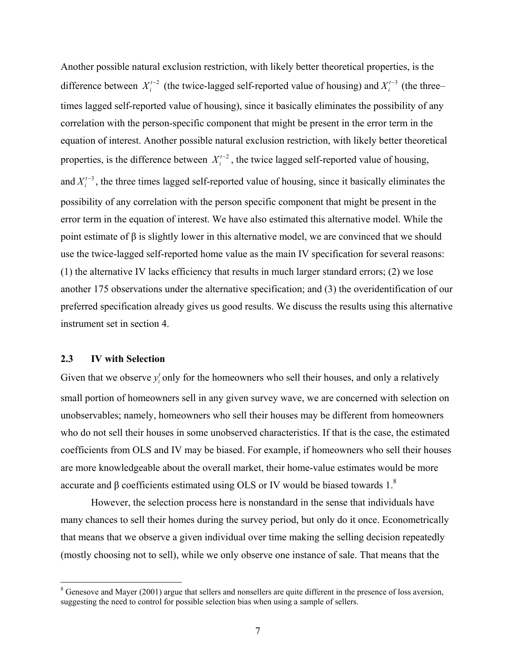Another possible natural exclusion restriction, with likely better theoretical properties, is the difference between  $X_i^{t-2}$  (the twice-lagged self-reported value of housing) and  $X_i^{t-3}$  (the three– times lagged self-reported value of housing), since it basically eliminates the possibility of any correlation with the person-specific component that might be present in the error term in the equation of interest. Another possible natural exclusion restriction, with likely better theoretical properties, is the difference between  $X_i^{t-2}$ , the twice lagged self-reported value of housing, and  $X_i^{t-3}$ , the three times lagged self-reported value of housing, since it basically eliminates the possibility of any correlation with the person specific component that might be present in the error term in the equation of interest. We have also estimated this alternative model. While the point estimate of  $\beta$  is slightly lower in this alternative model, we are convinced that we should use the twice-lagged self-reported home value as the main IV specification for several reasons: (1) the alternative IV lacks efficiency that results in much larger standard errors; (2) we lose another 175 observations under the alternative specification; and (3) the overidentification of our preferred specification already gives us good results. We discuss the results using this alternative instrument set in section 4.

### **2.3 IV with Selection**

 $\overline{a}$ 

Given that we observe  $y_i^t$  only for the homeowners who sell their houses, and only a relatively small portion of homeowners sell in any given survey wave, we are concerned with selection on unobservables; namely, homeowners who sell their houses may be different from homeowners who do not sell their houses in some unobserved characteristics. If that is the case, the estimated coefficients from OLS and IV may be biased. For example, if homeowners who sell their houses are more knowledgeable about the overall market, their home-value estimates would be more accurate and β coefficients estimated using OLS or IV would be biased towards  $1<sup>8</sup>$ 

However, the selection process here is nonstandard in the sense that individuals have many chances to sell their homes during the survey period, but only do it once. Econometrically that means that we observe a given individual over time making the selling decision repeatedly (mostly choosing not to sell), while we only observe one instance of sale. That means that the

 $8$  Genesove and Mayer (2001) argue that sellers and nonsellers are quite different in the presence of loss aversion, suggesting the need to control for possible selection bias when using a sample of sellers.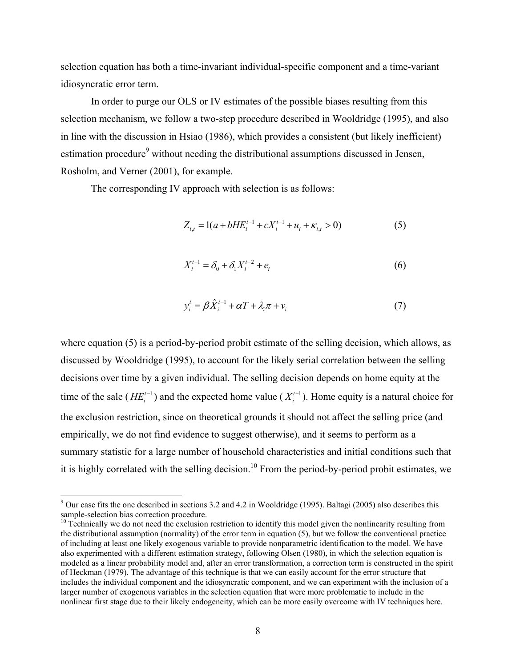selection equation has both a time-invariant individual-specific component and a time-variant idiosyncratic error term.

In order to purge our OLS or IV estimates of the possible biases resulting from this selection mechanism, we follow a two-step procedure described in Wooldridge (1995), and also in line with the discussion in Hsiao (1986), which provides a consistent (but likely inefficient) estimation procedure<sup>9</sup> without needing the distributional assumptions discussed in Jensen, Rosholm, and Verner (2001), for example.

The corresponding IV approach with selection is as follows:

$$
Z_{i,t} = 1(a + bHE_i^{t-1} + cX_i^{t-1} + u_i + \kappa_{i,t} > 0)
$$
\n<sup>(5)</sup>

$$
X_i^{t-1} = \delta_0 + \delta_1 X_i^{t-2} + e_i
$$
 (6)

$$
y_i^t = \beta \hat{X}_i^{t-1} + \alpha T + \lambda_i \pi + v_i \tag{7}
$$

where equation (5) is a period-by-period probit estimate of the selling decision, which allows, as discussed by Wooldridge (1995), to account for the likely serial correlation between the selling decisions over time by a given individual. The selling decision depends on home equity at the time of the sale ( $H E_i^{t-1}$ ) and the expected home value ( $X_i^{t-1}$ ). Home equity is a natural choice for the exclusion restriction, since on theoretical grounds it should not affect the selling price (and empirically, we do not find evidence to suggest otherwise), and it seems to perform as a summary statistic for a large number of household characteristics and initial conditions such that it is highly correlated with the selling decision.<sup>10</sup> From the period-by-period probit estimates, we

 $9$  Our case fits the one described in sections 3.2 and 4.2 in Wooldridge (1995). Baltagi (2005) also describes this sample-selection bias correction procedure.

 $10$  Technically we do not need the exclusion restriction to identify this model given the nonlinearity resulting from the distributional assumption (normality) of the error term in equation (5), but we follow the conventional practice of including at least one likely exogenous variable to provide nonparametric identification to the model. We have also experimented with a different estimation strategy, following Olsen (1980), in which the selection equation is modeled as a linear probability model and, after an error transformation, a correction term is constructed in the spirit of Heckman (1979). The advantage of this technique is that we can easily account for the error structure that includes the individual component and the idiosyncratic component, and we can experiment with the inclusion of a larger number of exogenous variables in the selection equation that were more problematic to include in the nonlinear first stage due to their likely endogeneity, which can be more easily overcome with IV techniques here.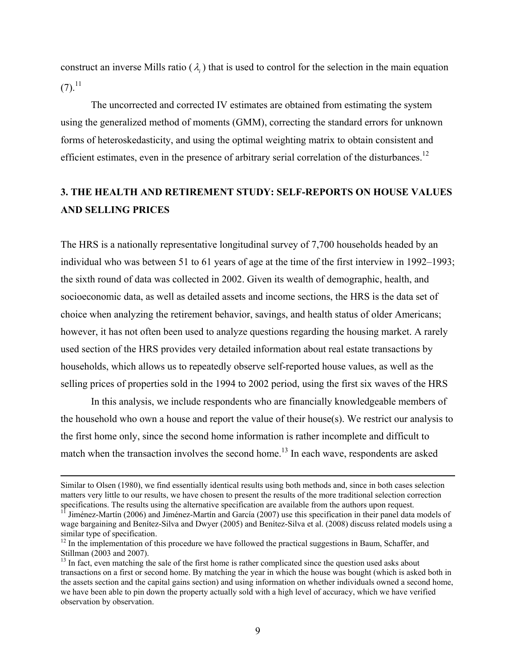construct an inverse Mills ratio  $(\lambda_i)$  that is used to control for the selection in the main equation  $(7).^{11}$ 

The uncorrected and corrected IV estimates are obtained from estimating the system using the generalized method of moments (GMM), correcting the standard errors for unknown forms of heteroskedasticity, and using the optimal weighting matrix to obtain consistent and efficient estimates, even in the presence of arbitrary serial correlation of the disturbances.<sup>12</sup>

### **3. THE HEALTH AND RETIREMENT STUDY: SELF-REPORTS ON HOUSE VALUES AND SELLING PRICES**

The HRS is a nationally representative longitudinal survey of 7,700 households headed by an individual who was between 51 to 61 years of age at the time of the first interview in 1992–1993; the sixth round of data was collected in 2002. Given its wealth of demographic, health, and socioeconomic data, as well as detailed assets and income sections, the HRS is the data set of choice when analyzing the retirement behavior, savings, and health status of older Americans; however, it has not often been used to analyze questions regarding the housing market. A rarely used section of the HRS provides very detailed information about real estate transactions by households, which allows us to repeatedly observe self-reported house values, as well as the selling prices of properties sold in the 1994 to 2002 period, using the first six waves of the HRS

In this analysis, we include respondents who are financially knowledgeable members of the household who own a house and report the value of their house(s). We restrict our analysis to the first home only, since the second home information is rather incomplete and difficult to match when the transaction involves the second home.<sup>13</sup> In each wave, respondents are asked

Similar to Olsen (1980), we find essentially identical results using both methods and, since in both cases selection matters very little to our results, we have chosen to present the results of the more traditional selection correction specifications. The results using the alternative specification are available from the authors upon request.<br><sup>11</sup> Jiménez-Martín (2006) and Jiménez-Martín and García (2007) use this specification in their panel data models

wage bargaining and Benítez-Silva and Dwyer (2005) and Benítez-Silva et al. (2008) discuss related models using a similar type of specification.

 $12$  In the implementation of this procedure we have followed the practical suggestions in Baum, Schaffer, and Stillman (2003 and 2007).

<sup>&</sup>lt;sup>13</sup> In fact, even matching the sale of the first home is rather complicated since the question used asks about transactions on a first or second home. By matching the year in which the house was bought (which is asked both in the assets section and the capital gains section) and using information on whether individuals owned a second home, we have been able to pin down the property actually sold with a high level of accuracy, which we have verified observation by observation.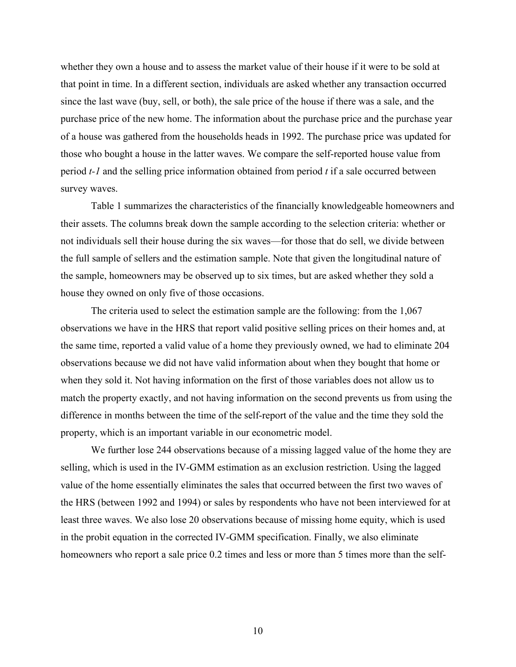whether they own a house and to assess the market value of their house if it were to be sold at that point in time. In a different section, individuals are asked whether any transaction occurred since the last wave (buy, sell, or both), the sale price of the house if there was a sale, and the purchase price of the new home. The information about the purchase price and the purchase year of a house was gathered from the households heads in 1992. The purchase price was updated for those who bought a house in the latter waves. We compare the self-reported house value from period *t-1* and the selling price information obtained from period *t* if a sale occurred between survey waves.

Table 1 summarizes the characteristics of the financially knowledgeable homeowners and their assets. The columns break down the sample according to the selection criteria: whether or not individuals sell their house during the six waves—for those that do sell, we divide between the full sample of sellers and the estimation sample. Note that given the longitudinal nature of the sample, homeowners may be observed up to six times, but are asked whether they sold a house they owned on only five of those occasions.

The criteria used to select the estimation sample are the following: from the 1,067 observations we have in the HRS that report valid positive selling prices on their homes and, at the same time, reported a valid value of a home they previously owned, we had to eliminate 204 observations because we did not have valid information about when they bought that home or when they sold it. Not having information on the first of those variables does not allow us to match the property exactly, and not having information on the second prevents us from using the difference in months between the time of the self-report of the value and the time they sold the property, which is an important variable in our econometric model.

We further lose 244 observations because of a missing lagged value of the home they are selling, which is used in the IV-GMM estimation as an exclusion restriction. Using the lagged value of the home essentially eliminates the sales that occurred between the first two waves of the HRS (between 1992 and 1994) or sales by respondents who have not been interviewed for at least three waves. We also lose 20 observations because of missing home equity, which is used in the probit equation in the corrected IV-GMM specification. Finally, we also eliminate homeowners who report a sale price 0.2 times and less or more than 5 times more than the self-

10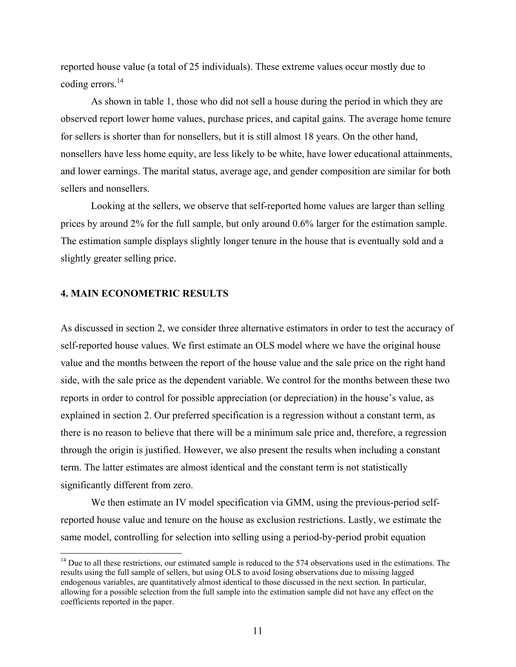reported house value (a total of 25 individuals). These extreme values occur mostly due to coding errors.<sup>14</sup>

As shown in table 1, those who did not sell a house during the period in which they are observed report lower home values, purchase prices, and capital gains. The average home tenure for sellers is shorter than for nonsellers, but it is still almost 18 years. On the other hand, nonsellers have less home equity, are less likely to be white, have lower educational attainments, and lower earnings. The marital status, average age, and gender composition are similar for both sellers and nonsellers.

Looking at the sellers, we observe that self-reported home values are larger than selling prices by around 2% for the full sample, but only around 0.6% larger for the estimation sample. The estimation sample displays slightly longer tenure in the house that is eventually sold and a slightly greater selling price.

### **4. MAIN ECONOMETRIC RESULTS**

1

As discussed in section 2, we consider three alternative estimators in order to test the accuracy of self-reported house values. We first estimate an OLS model where we have the original house value and the months between the report of the house value and the sale price on the right hand side, with the sale price as the dependent variable. We control for the months between these two reports in order to control for possible appreciation (or depreciation) in the house's value, as explained in section 2. Our preferred specification is a regression without a constant term, as there is no reason to believe that there will be a minimum sale price and, therefore, a regression through the origin is justified. However, we also present the results when including a constant term. The latter estimates are almost identical and the constant term is not statistically significantly different from zero.

We then estimate an IV model specification via GMM, using the previous-period selfreported house value and tenure on the house as exclusion restrictions. Lastly, we estimate the same model, controlling for selection into selling using a period-by-period probit equation

 $14$  Due to all these restrictions, our estimated sample is reduced to the 574 observations used in the estimations. The results using the full sample of sellers, but using OLS to avoid losing observations due to missing lagged endogenous variables, are quantitatively almost identical to those discussed in the next section. In particular, allowing for a possible selection from the full sample into the estimation sample did not have any effect on the coefficients reported in the paper.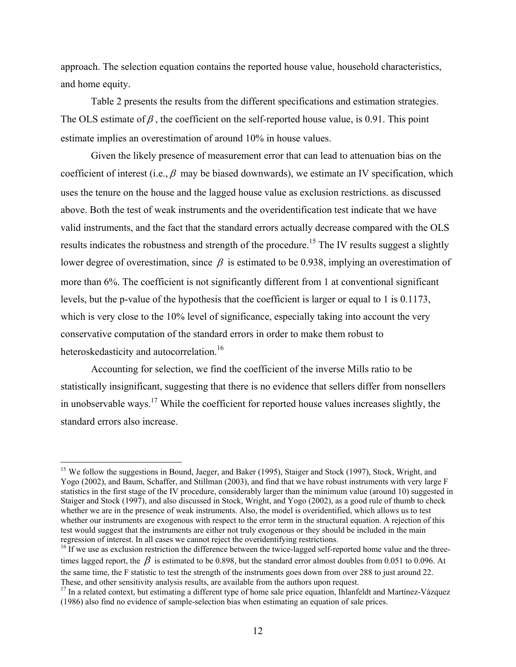approach. The selection equation contains the reported house value, household characteristics, and home equity.

Table 2 presents the results from the different specifications and estimation strategies. The OLS estimate of  $\beta$ , the coefficient on the self-reported house value, is 0.91. This point estimate implies an overestimation of around 10% in house values.

Given the likely presence of measurement error that can lead to attenuation bias on the coefficient of interest (i.e.,  $\beta$  may be biased downwards), we estimate an IV specification, which uses the tenure on the house and the lagged house value as exclusion restrictions. as discussed above. Both the test of weak instruments and the overidentification test indicate that we have valid instruments, and the fact that the standard errors actually decrease compared with the OLS results indicates the robustness and strength of the procedure.<sup>15</sup> The IV results suggest a slightly lower degree of overestimation, since  $\beta$  is estimated to be 0.938, implying an overestimation of more than 6%. The coefficient is not significantly different from 1 at conventional significant levels, but the p-value of the hypothesis that the coefficient is larger or equal to 1 is 0.1173, which is very close to the 10% level of significance, especially taking into account the very conservative computation of the standard errors in order to make them robust to heteroskedasticity and autocorrelation.<sup>16</sup>

Accounting for selection, we find the coefficient of the inverse Mills ratio to be statistically insignificant, suggesting that there is no evidence that sellers differ from nonsellers in unobservable ways.<sup>17</sup> While the coefficient for reported house values increases slightly, the standard errors also increase.

<sup>&</sup>lt;sup>15</sup> We follow the suggestions in Bound, Jaeger, and Baker (1995), Staiger and Stock (1997), Stock, Wright, and Yogo (2002), and Baum, Schaffer, and Stillman (2003), and find that we have robust instruments with very large F statistics in the first stage of the IV procedure, considerably larger than the minimum value (around 10) suggested in Staiger and Stock (1997), and also discussed in Stock, Wright, and Yogo (2002), as a good rule of thumb to check whether we are in the presence of weak instruments. Also, the model is overidentified, which allows us to test whether our instruments are exogenous with respect to the error term in the structural equation. A rejection of this test would suggest that the instruments are either not truly exogenous or they should be included in the main regression of interest. In all cases we cannot reject the overidentifying restrictions.

 $^{16}$  If we use as exclusion restriction the difference between the twice-lagged self-reported home value and the threetimes lagged report, the  $\beta$  is estimated to be 0.898, but the standard error almost doubles from 0.051 to 0.096. At the same time, the F statistic to test the strength of the instruments goes down from over 288 to just around 22. These, and other sensitivity analysis results, are available from the authors upon request.

<sup>&</sup>lt;sup>17</sup> In a related context, but estimating a different type of home sale price equation, Ihlanfeldt and Martínez-Vázquez (1986) also find no evidence of sample-selection bias when estimating an equation of sale prices.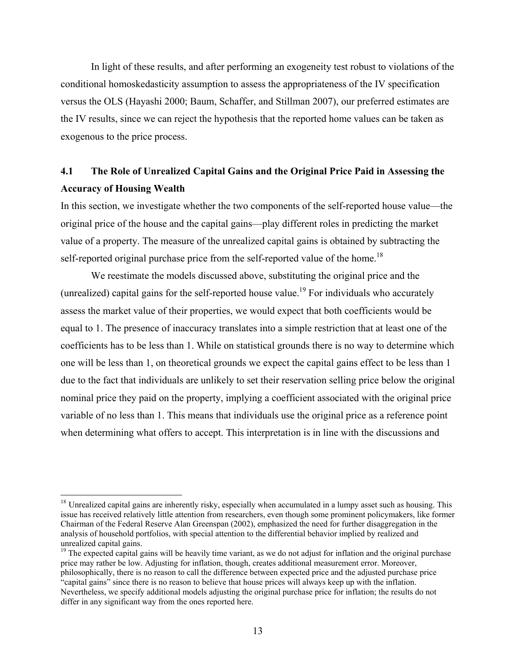In light of these results, and after performing an exogeneity test robust to violations of the conditional homoskedasticity assumption to assess the appropriateness of the IV specification versus the OLS (Hayashi 2000; Baum, Schaffer, and Stillman 2007), our preferred estimates are the IV results, since we can reject the hypothesis that the reported home values can be taken as exogenous to the price process.

### **4.1 The Role of Unrealized Capital Gains and the Original Price Paid in Assessing the Accuracy of Housing Wealth**

In this section, we investigate whether the two components of the self-reported house value—the original price of the house and the capital gains—play different roles in predicting the market value of a property. The measure of the unrealized capital gains is obtained by subtracting the self-reported original purchase price from the self-reported value of the home.<sup>18</sup>

We reestimate the models discussed above, substituting the original price and the (unrealized) capital gains for the self-reported house value.<sup>19</sup> For individuals who accurately assess the market value of their properties, we would expect that both coefficients would be equal to 1. The presence of inaccuracy translates into a simple restriction that at least one of the coefficients has to be less than 1. While on statistical grounds there is no way to determine which one will be less than 1, on theoretical grounds we expect the capital gains effect to be less than 1 due to the fact that individuals are unlikely to set their reservation selling price below the original nominal price they paid on the property, implying a coefficient associated with the original price variable of no less than 1. This means that individuals use the original price as a reference point when determining what offers to accept. This interpretation is in line with the discussions and

 $18$  Unrealized capital gains are inherently risky, especially when accumulated in a lumpy asset such as housing. This issue has received relatively little attention from researchers, even though some prominent policymakers, like former Chairman of the Federal Reserve Alan Greenspan (2002), emphasized the need for further disaggregation in the analysis of household portfolios, with special attention to the differential behavior implied by realized and unrealized capital gains.

<sup>&</sup>lt;sup>19</sup> The expected capital gains will be heavily time variant, as we do not adjust for inflation and the original purchase price may rather be low. Adjusting for inflation, though, creates additional measurement error. Moreover, philosophically, there is no reason to call the difference between expected price and the adjusted purchase price "capital gains" since there is no reason to believe that house prices will always keep up with the inflation. Nevertheless, we specify additional models adjusting the original purchase price for inflation; the results do not differ in any significant way from the ones reported here.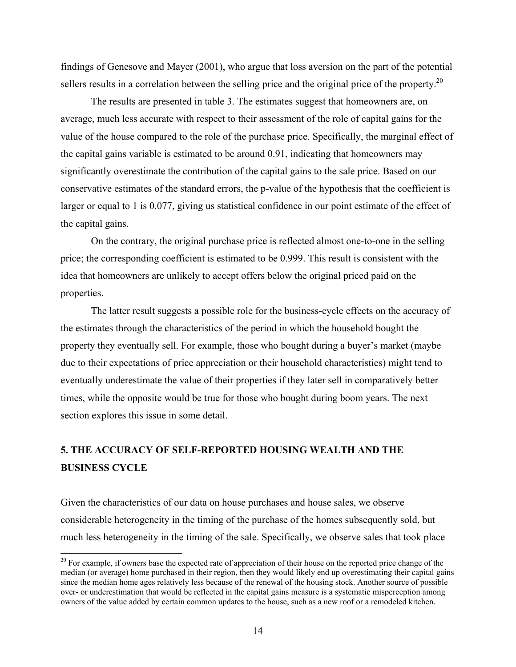findings of Genesove and Mayer (2001), who argue that loss aversion on the part of the potential sellers results in a correlation between the selling price and the original price of the property.<sup>20</sup>

The results are presented in table 3. The estimates suggest that homeowners are, on average, much less accurate with respect to their assessment of the role of capital gains for the value of the house compared to the role of the purchase price. Specifically, the marginal effect of the capital gains variable is estimated to be around 0.91, indicating that homeowners may significantly overestimate the contribution of the capital gains to the sale price. Based on our conservative estimates of the standard errors, the p-value of the hypothesis that the coefficient is larger or equal to 1 is 0.077, giving us statistical confidence in our point estimate of the effect of the capital gains.

On the contrary, the original purchase price is reflected almost one-to-one in the selling price; the corresponding coefficient is estimated to be 0.999. This result is consistent with the idea that homeowners are unlikely to accept offers below the original priced paid on the properties.

The latter result suggests a possible role for the business-cycle effects on the accuracy of the estimates through the characteristics of the period in which the household bought the property they eventually sell. For example, those who bought during a buyer's market (maybe due to their expectations of price appreciation or their household characteristics) might tend to eventually underestimate the value of their properties if they later sell in comparatively better times, while the opposite would be true for those who bought during boom years. The next section explores this issue in some detail.

## **5. THE ACCURACY OF SELF-REPORTED HOUSING WEALTH AND THE BUSINESS CYCLE**

1

Given the characteristics of our data on house purchases and house sales, we observe considerable heterogeneity in the timing of the purchase of the homes subsequently sold, but much less heterogeneity in the timing of the sale. Specifically, we observe sales that took place

<sup>&</sup>lt;sup>20</sup> For example, if owners base the expected rate of appreciation of their house on the reported price change of the median (or average) home purchased in their region, then they would likely end up overestimating their capital gains since the median home ages relatively less because of the renewal of the housing stock. Another source of possible over- or underestimation that would be reflected in the capital gains measure is a systematic misperception among owners of the value added by certain common updates to the house, such as a new roof or a remodeled kitchen.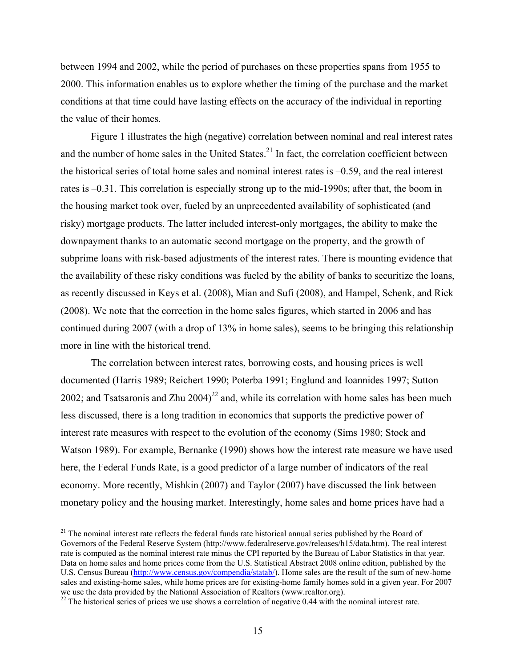between 1994 and 2002, while the period of purchases on these properties spans from 1955 to 2000. This information enables us to explore whether the timing of the purchase and the market conditions at that time could have lasting effects on the accuracy of the individual in reporting the value of their homes.

 Figure 1 illustrates the high (negative) correlation between nominal and real interest rates and the number of home sales in the United States.<sup>21</sup> In fact, the correlation coefficient between the historical series of total home sales and nominal interest rates is –0.59, and the real interest rates is –0.31. This correlation is especially strong up to the mid-1990s; after that, the boom in the housing market took over, fueled by an unprecedented availability of sophisticated (and risky) mortgage products. The latter included interest-only mortgages, the ability to make the downpayment thanks to an automatic second mortgage on the property, and the growth of subprime loans with risk-based adjustments of the interest rates. There is mounting evidence that the availability of these risky conditions was fueled by the ability of banks to securitize the loans, as recently discussed in Keys et al. (2008), Mian and Sufi (2008), and Hampel, Schenk, and Rick (2008). We note that the correction in the home sales figures, which started in 2006 and has continued during 2007 (with a drop of 13% in home sales), seems to be bringing this relationship more in line with the historical trend.

The correlation between interest rates, borrowing costs, and housing prices is well documented (Harris 1989; Reichert 1990; Poterba 1991; Englund and Ioannides 1997; Sutton 2002; and Tsatsaronis and Zhu  $2004$ <sup>22</sup> and, while its correlation with home sales has been much less discussed, there is a long tradition in economics that supports the predictive power of interest rate measures with respect to the evolution of the economy (Sims 1980; Stock and Watson 1989). For example, Bernanke (1990) shows how the interest rate measure we have used here, the Federal Funds Rate, is a good predictor of a large number of indicators of the real economy. More recently, Mishkin (2007) and Taylor (2007) have discussed the link between monetary policy and the housing market. Interestingly, home sales and home prices have had a

<sup>&</sup>lt;sup>21</sup> The nominal interest rate reflects the federal funds rate historical annual series published by the Board of Governors of the Federal Reserve System (http://www.federalreserve.gov/releases/h15/data.htm). The real interest rate is computed as the nominal interest rate minus the CPI reported by the Bureau of Labor Statistics in that year. Data on home sales and home prices come from the U.S. Statistical Abstract 2008 online edition, published by the U.S. Census Bureau (http://www.census.gov/compendia/statab/). Home sales are the result of the sum of new-home sales and existing-home sales, while home prices are for existing-home family homes sold in a given year. For 2007 we use the data provided by the National Association of Realtors (www.realtor.org).<br><sup>22</sup> The historical series of prices we use shows a correlation of negative 0.44 with the nominal interest rate.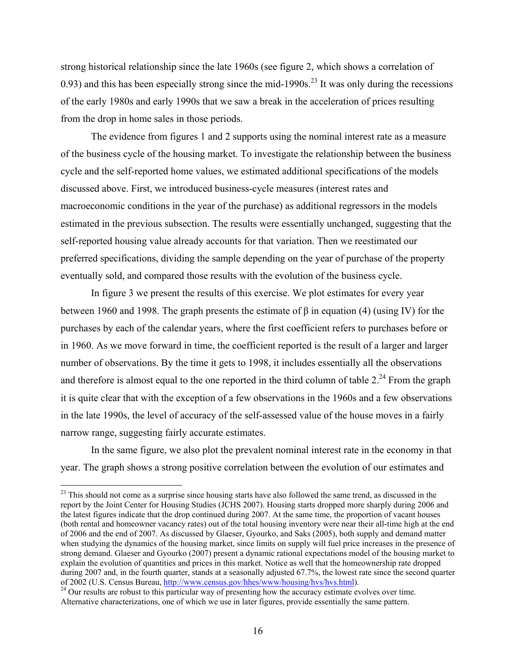strong historical relationship since the late 1960s (see figure 2, which shows a correlation of 0.93) and this has been especially strong since the mid-1990s.<sup>23</sup> It was only during the recessions of the early 1980s and early 1990s that we saw a break in the acceleration of prices resulting from the drop in home sales in those periods.

The evidence from figures 1 and 2 supports using the nominal interest rate as a measure of the business cycle of the housing market. To investigate the relationship between the business cycle and the self-reported home values, we estimated additional specifications of the models discussed above. First, we introduced business-cycle measures (interest rates and macroeconomic conditions in the year of the purchase) as additional regressors in the models estimated in the previous subsection. The results were essentially unchanged, suggesting that the self-reported housing value already accounts for that variation. Then we reestimated our preferred specifications, dividing the sample depending on the year of purchase of the property eventually sold, and compared those results with the evolution of the business cycle.

 In figure 3 we present the results of this exercise. We plot estimates for every year between 1960 and 1998. The graph presents the estimate of β in equation (4) (using IV) for the purchases by each of the calendar years, where the first coefficient refers to purchases before or in 1960. As we move forward in time, the coefficient reported is the result of a larger and larger number of observations. By the time it gets to 1998, it includes essentially all the observations and therefore is almost equal to the one reported in the third column of table  $2<sup>24</sup>$  From the graph it is quite clear that with the exception of a few observations in the 1960s and a few observations in the late 1990s, the level of accuracy of the self-assessed value of the house moves in a fairly narrow range, suggesting fairly accurate estimates.

 In the same figure, we also plot the prevalent nominal interest rate in the economy in that year. The graph shows a strong positive correlation between the evolution of our estimates and

 $23$  This should not come as a surprise since housing starts have also followed the same trend, as discussed in the report by the Joint Center for Housing Studies (JCHS 2007). Housing starts dropped more sharply during 2006 and the latest figures indicate that the drop continued during 2007. At the same time, the proportion of vacant houses (both rental and homeowner vacancy rates) out of the total housing inventory were near their all-time high at the end of 2006 and the end of 2007. As discussed by Glaeser, Gyourko, and Saks (2005), both supply and demand matter when studying the dynamics of the housing market, since limits on supply will fuel price increases in the presence of strong demand. Glaeser and Gyourko (2007) present a dynamic rational expectations model of the housing market to explain the evolution of quantities and prices in this market. Notice as well that the homeownership rate dropped during 2007 and, in the fourth quarter, stands at a seasonally adjusted 67.7%, the lowest rate since the second quarter of 2002 (U.S. Census Bureau, http://www.census.gov/hhes/www/housing/hvs/hvs.html).

<sup>&</sup>lt;sup>24</sup> Our results are robust to this particular way of presenting how the accuracy estimate evolves over time. Alternative characterizations, one of which we use in later figures, provide essentially the same pattern.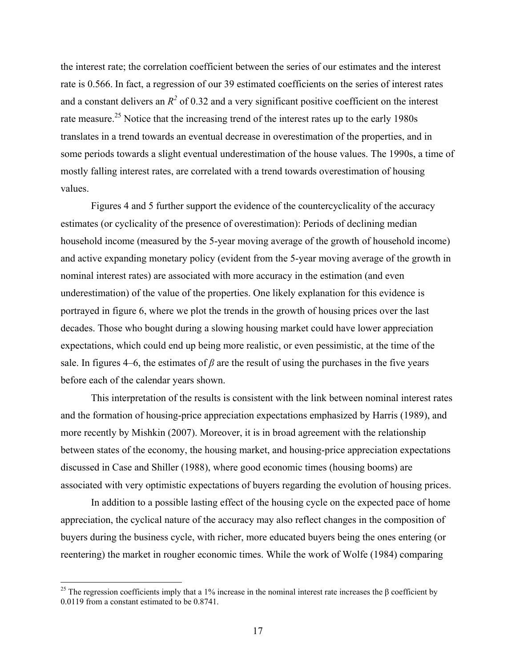the interest rate; the correlation coefficient between the series of our estimates and the interest rate is 0.566. In fact, a regression of our 39 estimated coefficients on the series of interest rates and a constant delivers an  $R^2$  of 0.32 and a very significant positive coefficient on the interest rate measure.<sup>25</sup> Notice that the increasing trend of the interest rates up to the early 1980s translates in a trend towards an eventual decrease in overestimation of the properties, and in some periods towards a slight eventual underestimation of the house values. The 1990s, a time of mostly falling interest rates, are correlated with a trend towards overestimation of housing values.

 Figures 4 and 5 further support the evidence of the countercyclicality of the accuracy estimates (or cyclicality of the presence of overestimation): Periods of declining median household income (measured by the 5-year moving average of the growth of household income) and active expanding monetary policy (evident from the 5-year moving average of the growth in nominal interest rates) are associated with more accuracy in the estimation (and even underestimation) of the value of the properties. One likely explanation for this evidence is portrayed in figure 6, where we plot the trends in the growth of housing prices over the last decades. Those who bought during a slowing housing market could have lower appreciation expectations, which could end up being more realistic, or even pessimistic, at the time of the sale. In figures 4–6, the estimates of  $\beta$  are the result of using the purchases in the five years before each of the calendar years shown.

 This interpretation of the results is consistent with the link between nominal interest rates and the formation of housing-price appreciation expectations emphasized by Harris (1989), and more recently by Mishkin (2007). Moreover, it is in broad agreement with the relationship between states of the economy, the housing market, and housing-price appreciation expectations discussed in Case and Shiller (1988), where good economic times (housing booms) are associated with very optimistic expectations of buyers regarding the evolution of housing prices.

 In addition to a possible lasting effect of the housing cycle on the expected pace of home appreciation, the cyclical nature of the accuracy may also reflect changes in the composition of buyers during the business cycle, with richer, more educated buyers being the ones entering (or reentering) the market in rougher economic times. While the work of Wolfe (1984) comparing

<sup>&</sup>lt;sup>25</sup> The regression coefficients imply that a 1% increase in the nominal interest rate increases the β coefficient by 0.0119 from a constant estimated to be 0.8741.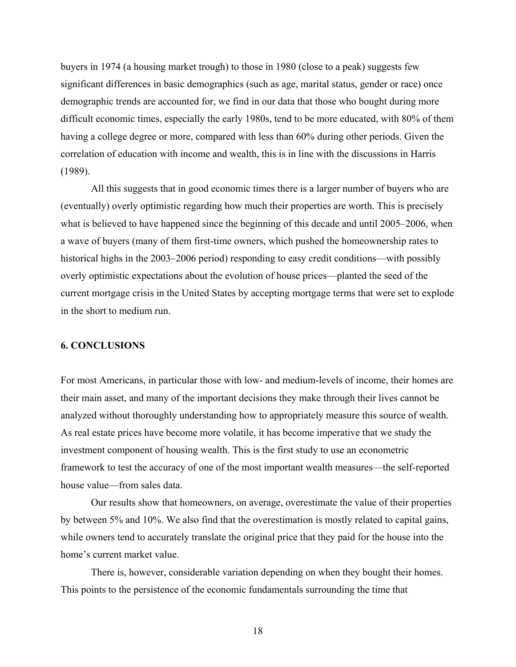buyers in 1974 (a housing market trough) to those in 1980 (close to a peak) suggests few significant differences in basic demographics (such as age, marital status, gender or race) once demographic trends are accounted for, we find in our data that those who bought during more difficult economic times, especially the early 1980s, tend to be more educated, with 80% of them having a college degree or more, compared with less than 60% during other periods. Given the correlation of education with income and wealth, this is in line with the discussions in Harris (1989).

All this suggests that in good economic times there is a larger number of buyers who are (eventually) overly optimistic regarding how much their properties are worth. This is precisely what is believed to have happened since the beginning of this decade and until 2005–2006, when a wave of buyers (many of them first-time owners, which pushed the homeownership rates to historical highs in the 2003–2006 period) responding to easy credit conditions—with possibly overly optimistic expectations about the evolution of house prices—planted the seed of the current mortgage crisis in the United States by accepting mortgage terms that were set to explode in the short to medium run.

### **6. CONCLUSIONS**

For most Americans, in particular those with low- and medium-levels of income, their homes are their main asset, and many of the important decisions they make through their lives cannot be analyzed without thoroughly understanding how to appropriately measure this source of wealth. As real estate prices have become more volatile, it has become imperative that we study the investment component of housing wealth. This is the first study to use an econometric framework to test the accuracy of one of the most important wealth measures—the self-reported house value—from sales data.

Our results show that homeowners, on average, overestimate the value of their properties by between 5% and 10%. We also find that the overestimation is mostly related to capital gains, while owners tend to accurately translate the original price that they paid for the house into the home's current market value.

There is, however, considerable variation depending on when they bought their homes. This points to the persistence of the economic fundamentals surrounding the time that

18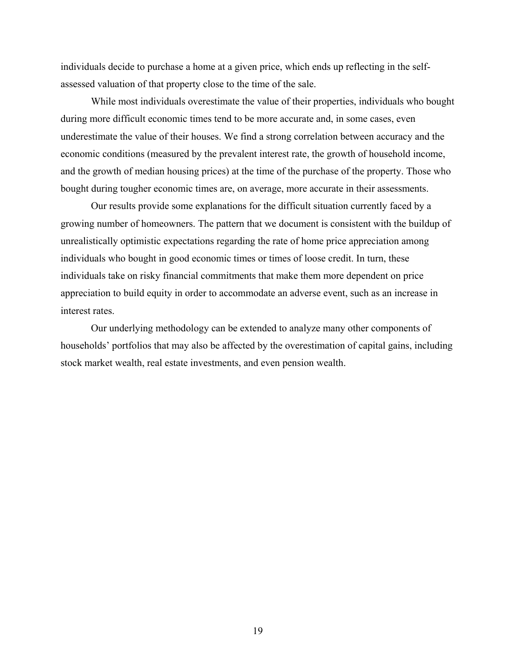individuals decide to purchase a home at a given price, which ends up reflecting in the selfassessed valuation of that property close to the time of the sale.

While most individuals overestimate the value of their properties, individuals who bought during more difficult economic times tend to be more accurate and, in some cases, even underestimate the value of their houses. We find a strong correlation between accuracy and the economic conditions (measured by the prevalent interest rate, the growth of household income, and the growth of median housing prices) at the time of the purchase of the property. Those who bought during tougher economic times are, on average, more accurate in their assessments.

Our results provide some explanations for the difficult situation currently faced by a growing number of homeowners. The pattern that we document is consistent with the buildup of unrealistically optimistic expectations regarding the rate of home price appreciation among individuals who bought in good economic times or times of loose credit. In turn, these individuals take on risky financial commitments that make them more dependent on price appreciation to build equity in order to accommodate an adverse event, such as an increase in interest rates.

Our underlying methodology can be extended to analyze many other components of households' portfolios that may also be affected by the overestimation of capital gains, including stock market wealth, real estate investments, and even pension wealth.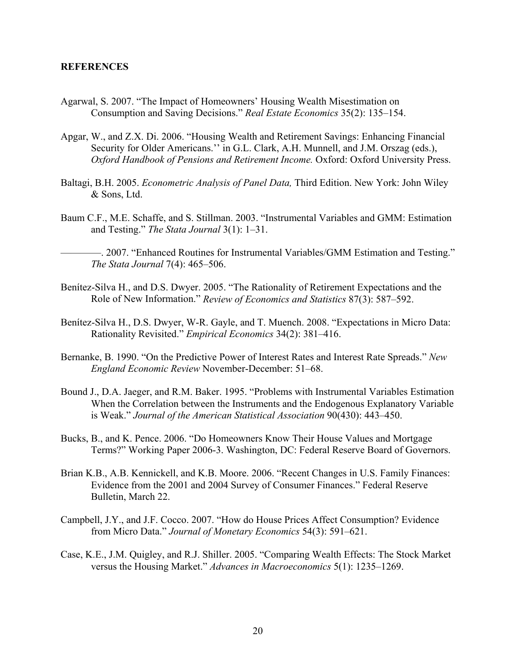#### **REFERENCES**

- Agarwal, S. 2007. "The Impact of Homeowners' Housing Wealth Misestimation on Consumption and Saving Decisions." *Real Estate Economics* 35(2): 135–154.
- Apgar, W., and Z.X. Di. 2006. "Housing Wealth and Retirement Savings: Enhancing Financial Security for Older Americans.'' in G.L. Clark, A.H. Munnell, and J.M. Orszag (eds.), *Oxford Handbook of Pensions and Retirement Income.* Oxford: Oxford University Press.
- Baltagi, B.H. 2005. *Econometric Analysis of Panel Data,* Third Edition. New York: John Wiley & Sons, Ltd.
- Baum C.F., M.E. Schaffe, and S. Stillman. 2003. "Instrumental Variables and GMM: Estimation and Testing." *The Stata Journal* 3(1): 1–31.

——. 2007. "Enhanced Routines for Instrumental Variables/GMM Estimation and Testing." *The Stata Journal* 7(4): 465–506.

- Benítez-Silva H., and D.S. Dwyer. 2005. "The Rationality of Retirement Expectations and the Role of New Information." *Review of Economics and Statistics* 87(3): 587–592.
- Benítez-Silva H., D.S. Dwyer, W-R. Gayle, and T. Muench. 2008. "Expectations in Micro Data: Rationality Revisited." *Empirical Economics* 34(2): 381–416.
- Bernanke, B. 1990. "On the Predictive Power of Interest Rates and Interest Rate Spreads." *New England Economic Review* November-December: 51–68.
- Bound J., D.A. Jaeger, and R.M. Baker. 1995. "Problems with Instrumental Variables Estimation When the Correlation between the Instruments and the Endogenous Explanatory Variable is Weak." *Journal of the American Statistical Association* 90(430): 443–450.
- Bucks, B., and K. Pence. 2006. "Do Homeowners Know Their House Values and Mortgage Terms?" Working Paper 2006-3. Washington, DC: Federal Reserve Board of Governors.
- Brian K.B., A.B. Kennickell, and K.B. Moore. 2006. "Recent Changes in U.S. Family Finances: Evidence from the 2001 and 2004 Survey of Consumer Finances." Federal Reserve Bulletin, March 22.
- Campbell, J.Y., and J.F. Cocco. 2007. "How do House Prices Affect Consumption? Evidence from Micro Data." *Journal of Monetary Economics* 54(3): 591–621.
- Case, K.E., J.M. Quigley, and R.J. Shiller. 2005. "Comparing Wealth Effects: The Stock Market versus the Housing Market." *Advances in Macroeconomics* 5(1): 1235–1269.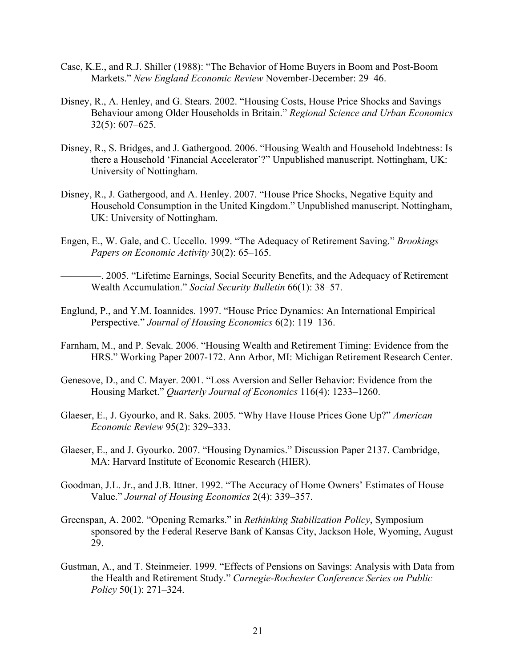- Case, K.E., and R.J. Shiller (1988): "The Behavior of Home Buyers in Boom and Post-Boom Markets." *New England Economic Review* November-December: 29–46.
- Disney, R., A. Henley, and G. Stears. 2002. "Housing Costs, House Price Shocks and Savings Behaviour among Older Households in Britain." *Regional Science and Urban Economics* 32(5): 607–625.
- Disney, R., S. Bridges, and J. Gathergood. 2006. "Housing Wealth and Household Indebtness: Is there a Household 'Financial Accelerator'?" Unpublished manuscript. Nottingham, UK: University of Nottingham.
- Disney, R., J. Gathergood, and A. Henley. 2007. "House Price Shocks, Negative Equity and Household Consumption in the United Kingdom." Unpublished manuscript. Nottingham, UK: University of Nottingham.
- Engen, E., W. Gale, and C. Uccello. 1999. "The Adequacy of Retirement Saving." *Brookings Papers on Economic Activity* 30(2): 65–165.
	- ————. 2005. "Lifetime Earnings, Social Security Benefits, and the Adequacy of Retirement Wealth Accumulation." *Social Security Bulletin* 66(1): 38–57.
- Englund, P., and Y.M. Ioannides. 1997. "House Price Dynamics: An International Empirical Perspective." *Journal of Housing Economics* 6(2): 119–136.
- Farnham, M., and P. Sevak. 2006. "Housing Wealth and Retirement Timing: Evidence from the HRS." Working Paper 2007-172. Ann Arbor, MI: Michigan Retirement Research Center.
- Genesove, D., and C. Mayer. 2001. "Loss Aversion and Seller Behavior: Evidence from the Housing Market." *Quarterly Journal of Economics* 116(4): 1233–1260.
- Glaeser, E., J. Gyourko, and R. Saks. 2005. "Why Have House Prices Gone Up?" *American Economic Review* 95(2): 329–333.
- Glaeser, E., and J. Gyourko. 2007. "Housing Dynamics." Discussion Paper 2137. Cambridge, MA: Harvard Institute of Economic Research (HIER).
- Goodman, J.L. Jr., and J.B. Ittner. 1992. "The Accuracy of Home Owners' Estimates of House Value." *Journal of Housing Economics* 2(4): 339–357.
- Greenspan, A. 2002. "Opening Remarks." in *Rethinking Stabilization Policy*, Symposium sponsored by the Federal Reserve Bank of Kansas City, Jackson Hole, Wyoming, August 29.
- Gustman, A., and T. Steinmeier. 1999. "Effects of Pensions on Savings: Analysis with Data from the Health and Retirement Study." *Carnegie-Rochester Conference Series on Public Policy* 50(1): 271–324.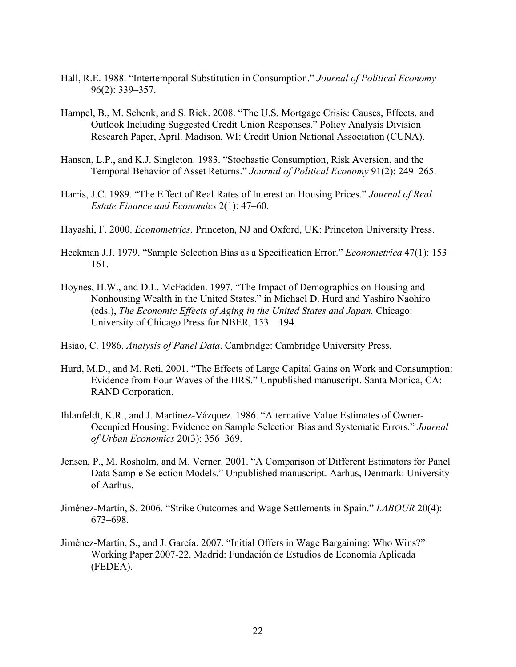- Hall, R.E. 1988. "Intertemporal Substitution in Consumption." *Journal of Political Economy* 96(2): 339–357.
- Hampel, B., M. Schenk, and S. Rick. 2008. "The U.S. Mortgage Crisis: Causes, Effects, and Outlook Including Suggested Credit Union Responses." Policy Analysis Division Research Paper, April. Madison, WI: Credit Union National Association (CUNA).
- Hansen, L.P., and K.J. Singleton. 1983. "Stochastic Consumption, Risk Aversion, and the Temporal Behavior of Asset Returns." *Journal of Political Economy* 91(2): 249–265.
- Harris, J.C. 1989. "The Effect of Real Rates of Interest on Housing Prices." *Journal of Real Estate Finance and Economics* 2(1): 47–60.
- Hayashi, F. 2000. *Econometrics*. Princeton, NJ and Oxford, UK: Princeton University Press.
- Heckman J.J. 1979. "Sample Selection Bias as a Specification Error." *Econometrica* 47(1): 153– 161.
- Hoynes, H.W., and D.L. McFadden. 1997. "The Impact of Demographics on Housing and Nonhousing Wealth in the United States." in Michael D. Hurd and Yashiro Naohiro (eds.), *The Economic Effects of Aging in the United States and Japan.* Chicago: University of Chicago Press for NBER, 153—194.
- Hsiao, C. 1986. *Analysis of Panel Data*. Cambridge: Cambridge University Press.
- Hurd, M.D., and M. Reti. 2001. "The Effects of Large Capital Gains on Work and Consumption: Evidence from Four Waves of the HRS." Unpublished manuscript. Santa Monica, CA: RAND Corporation.
- Ihlanfeldt, K.R., and J. Martínez-Vázquez. 1986. "Alternative Value Estimates of Owner-Occupied Housing: Evidence on Sample Selection Bias and Systematic Errors." *Journal of Urban Economics* 20(3): 356–369.
- Jensen, P., M. Rosholm, and M. Verner. 2001. "A Comparison of Different Estimators for Panel Data Sample Selection Models." Unpublished manuscript. Aarhus, Denmark: University of Aarhus.
- Jiménez-Martín, S. 2006. "Strike Outcomes and Wage Settlements in Spain." *LABOUR* 20(4): 673–698.
- Jiménez-Martín, S., and J. García. 2007. "Initial Offers in Wage Bargaining: Who Wins?" Working Paper 2007-22. Madrid: Fundación de Estudios de Economía Aplicada (FEDEA).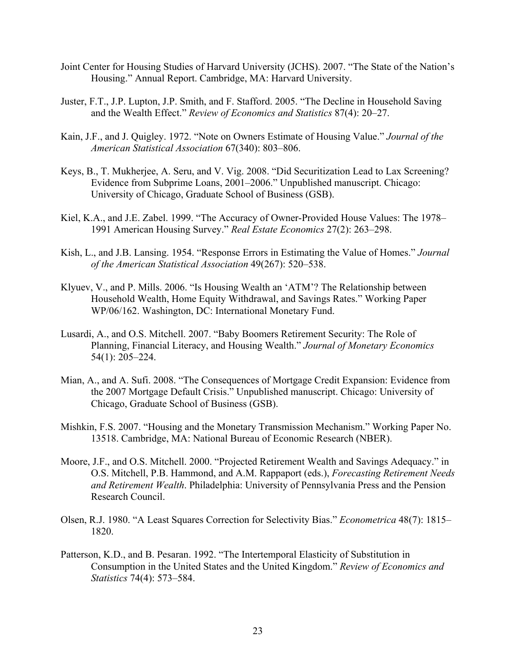- Joint Center for Housing Studies of Harvard University (JCHS). 2007. "The State of the Nation's Housing." Annual Report. Cambridge, MA: Harvard University.
- Juster, F.T., J.P. Lupton, J.P. Smith, and F. Stafford. 2005. "The Decline in Household Saving and the Wealth Effect." *Review of Economics and Statistics* 87(4): 20–27.
- Kain, J.F., and J. Quigley. 1972. "Note on Owners Estimate of Housing Value." *Journal of the American Statistical Association* 67(340): 803–806.
- Keys, B., T. Mukherjee, A. Seru, and V. Vig. 2008. "Did Securitization Lead to Lax Screening? Evidence from Subprime Loans, 2001–2006." Unpublished manuscript. Chicago: University of Chicago, Graduate School of Business (GSB).
- Kiel, K.A., and J.E. Zabel. 1999. "The Accuracy of Owner-Provided House Values: The 1978– 1991 American Housing Survey." *Real Estate Economics* 27(2): 263–298.
- Kish, L., and J.B. Lansing. 1954. "Response Errors in Estimating the Value of Homes." *Journal of the American Statistical Association* 49(267): 520–538.
- Klyuev, V., and P. Mills. 2006. "Is Housing Wealth an 'ATM'? The Relationship between Household Wealth, Home Equity Withdrawal, and Savings Rates." Working Paper WP/06/162. Washington, DC: International Monetary Fund.
- Lusardi, A., and O.S. Mitchell. 2007. "Baby Boomers Retirement Security: The Role of Planning, Financial Literacy, and Housing Wealth." *Journal of Monetary Economics* 54(1): 205–224.
- Mian, A., and A. Sufi. 2008. "The Consequences of Mortgage Credit Expansion: Evidence from the 2007 Mortgage Default Crisis." Unpublished manuscript. Chicago: University of Chicago, Graduate School of Business (GSB).
- Mishkin, F.S. 2007. "Housing and the Monetary Transmission Mechanism." Working Paper No. 13518. Cambridge, MA: National Bureau of Economic Research (NBER).
- Moore, J.F., and O.S. Mitchell. 2000. "Projected Retirement Wealth and Savings Adequacy." in O.S. Mitchell, P.B. Hammond, and A.M. Rappaport (eds.), *Forecasting Retirement Needs and Retirement Wealth*. Philadelphia: University of Pennsylvania Press and the Pension Research Council.
- Olsen, R.J. 1980. "A Least Squares Correction for Selectivity Bias." *Econometrica* 48(7): 1815– 1820.
- Patterson, K.D., and B. Pesaran. 1992. "The Intertemporal Elasticity of Substitution in Consumption in the United States and the United Kingdom." *Review of Economics and Statistics* 74(4): 573–584.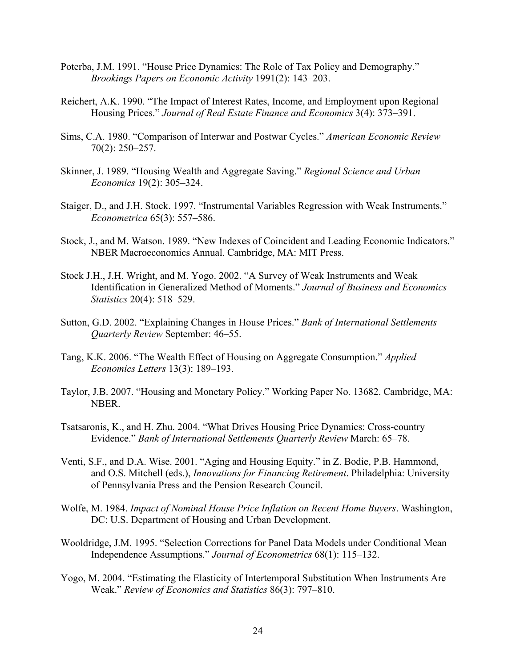- Poterba, J.M. 1991. "House Price Dynamics: The Role of Tax Policy and Demography." *Brookings Papers on Economic Activity* 1991(2): 143–203.
- Reichert, A.K. 1990. "The Impact of Interest Rates, Income, and Employment upon Regional Housing Prices." *Journal of Real Estate Finance and Economics* 3(4): 373–391.
- Sims, C.A. 1980. "Comparison of Interwar and Postwar Cycles." *American Economic Review* 70(2): 250–257.
- Skinner, J. 1989. "Housing Wealth and Aggregate Saving." *Regional Science and Urban Economics* 19(2): 305–324.
- Staiger, D., and J.H. Stock. 1997. "Instrumental Variables Regression with Weak Instruments." *Econometrica* 65(3): 557–586.
- Stock, J., and M. Watson. 1989. "New Indexes of Coincident and Leading Economic Indicators." NBER Macroeconomics Annual. Cambridge, MA: MIT Press.
- Stock J.H., J.H. Wright, and M. Yogo. 2002. "A Survey of Weak Instruments and Weak Identification in Generalized Method of Moments." *Journal of Business and Economics Statistics* 20(4): 518–529.
- Sutton, G.D. 2002. "Explaining Changes in House Prices." *Bank of International Settlements Quarterly Review* September: 46–55.
- Tang, K.K. 2006. "The Wealth Effect of Housing on Aggregate Consumption." *Applied Economics Letters* 13(3): 189–193.
- Taylor, J.B. 2007. "Housing and Monetary Policy." Working Paper No. 13682. Cambridge, MA: NBER.
- Tsatsaronis, K., and H. Zhu. 2004. "What Drives Housing Price Dynamics: Cross-country Evidence." *Bank of International Settlements Quarterly Review* March: 65–78.
- Venti, S.F., and D.A. Wise. 2001. "Aging and Housing Equity." in Z. Bodie, P.B. Hammond, and O.S. Mitchell (eds.), *Innovations for Financing Retirement*. Philadelphia: University of Pennsylvania Press and the Pension Research Council.
- Wolfe, M. 1984. *Impact of Nominal House Price Inflation on Recent Home Buyers*. Washington, DC: U.S. Department of Housing and Urban Development.
- Wooldridge, J.M. 1995. "Selection Corrections for Panel Data Models under Conditional Mean Independence Assumptions." *Journal of Econometrics* 68(1): 115–132.
- Yogo, M. 2004. "Estimating the Elasticity of Intertemporal Substitution When Instruments Are Weak." *Review of Economics and Statistics* 86(3): 797–810.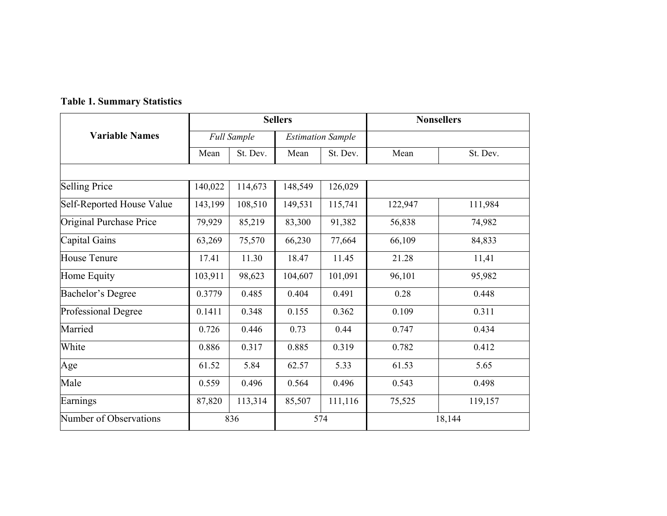|                           |                    |          | <b>Sellers</b> | <b>Nonsellers</b>        |         |          |  |
|---------------------------|--------------------|----------|----------------|--------------------------|---------|----------|--|
| <b>Variable Names</b>     | <b>Full Sample</b> |          |                | <b>Estimation Sample</b> |         |          |  |
|                           | Mean               | St. Dev. | Mean           | St. Dev.                 | Mean    | St. Dev. |  |
|                           |                    |          |                |                          |         |          |  |
| Selling Price             | 140,022            | 114,673  | 148,549        | 126,029                  |         |          |  |
| Self-Reported House Value | 143,199            | 108,510  | 149,531        | 115,741                  | 122,947 | 111,984  |  |
| Original Purchase Price   | 79,929             | 85,219   | 83,300         | 91,382                   | 56,838  | 74,982   |  |
| Capital Gains             | 63,269             | 75,570   | 66,230         | 77,664                   | 66,109  | 84,833   |  |
| <b>House Tenure</b>       | 17.41              | 11.30    | 18.47          | 11.45                    | 21.28   | 11,41    |  |
| Home Equity               | 103,911            | 98,623   | 104,607        | 101,091                  | 96,101  | 95,982   |  |
| Bachelor's Degree         | 0.3779             | 0.485    | 0.404          | 0.491                    | 0.28    | 0.448    |  |
| Professional Degree       | 0.1411             | 0.348    | 0.155          | 0.362                    | 0.109   | 0.311    |  |
| Married                   | 0.726              | 0.446    | 0.73           | 0.44                     | 0.747   | 0.434    |  |
| White                     | 0.886              | 0.317    | 0.885          | 0.319                    | 0.782   | 0.412    |  |
| Age                       | 61.52              | 5.84     | 62.57          | 5.33                     | 61.53   | 5.65     |  |
| Male                      | 0.559              | 0.496    | 0.564          | 0.496                    | 0.543   | 0.498    |  |
| Earnings                  | 87,820             | 113,314  | 85,507         | 111,116                  | 75,525  | 119,157  |  |
| Number of Observations    |                    | 836      |                | 574                      | 18,144  |          |  |

# **Table 1. Summary Statistics**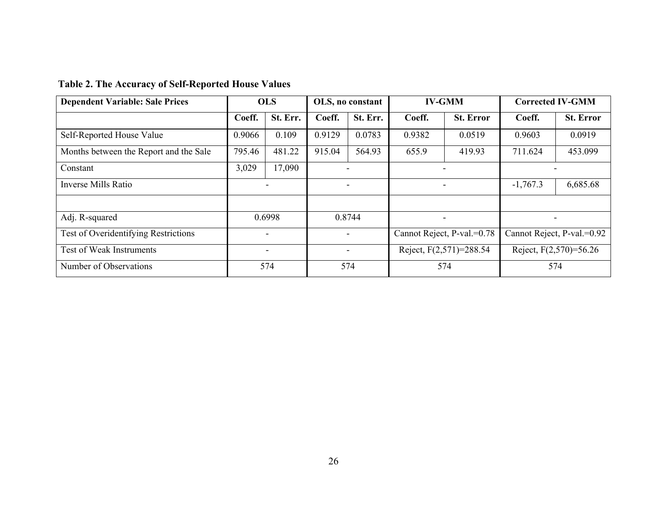| <b>Dependent Variable: Sale Prices</b> | <b>OLS</b> |          | OLS, no constant         |          | <b>IV-GMM</b>              |                  | <b>Corrected IV-GMM</b>    |                  |
|----------------------------------------|------------|----------|--------------------------|----------|----------------------------|------------------|----------------------------|------------------|
|                                        | Coeff.     | St. Err. | Coeff.                   | St. Err. | Coeff.                     | <b>St. Error</b> | Coeff.                     | <b>St. Error</b> |
| Self-Reported House Value              | 0.9066     | 0.109    | 0.9129                   | 0.0783   | 0.9382                     | 0.0519           | 0.9603                     | 0.0919           |
| Months between the Report and the Sale | 795.46     | 481.22   | 915.04                   | 564.93   | 655.9                      | 419.93           | 711.624                    | 453.099          |
| Constant                               | 3,029      | 17,090   |                          |          | $\overline{\phantom{a}}$   |                  |                            | -                |
| <b>Inverse Mills Ratio</b>             | -          |          | $\overline{\phantom{0}}$ |          | $\overline{\phantom{a}}$   |                  | $-1,767.3$                 | 6,685.68         |
|                                        |            |          |                          |          |                            |                  |                            |                  |
| Adj. R-squared                         | 0.6998     |          | 0.8744                   |          | $\overline{\phantom{a}}$   |                  | $\blacksquare$             |                  |
| Test of Overidentifying Restrictions   | -          |          |                          |          | Cannot Reject, P-val.=0.78 |                  | Cannot Reject, P-val.=0.92 |                  |
| <b>Test of Weak Instruments</b>        | -          |          |                          |          | Reject, F(2,571)=288.54    |                  | Reject, F(2,570)=56.26     |                  |
| Number of Observations                 | 574        |          | 574                      |          | 574                        |                  | 574                        |                  |

## **Table 2. The Accuracy of Self-Reported House Values**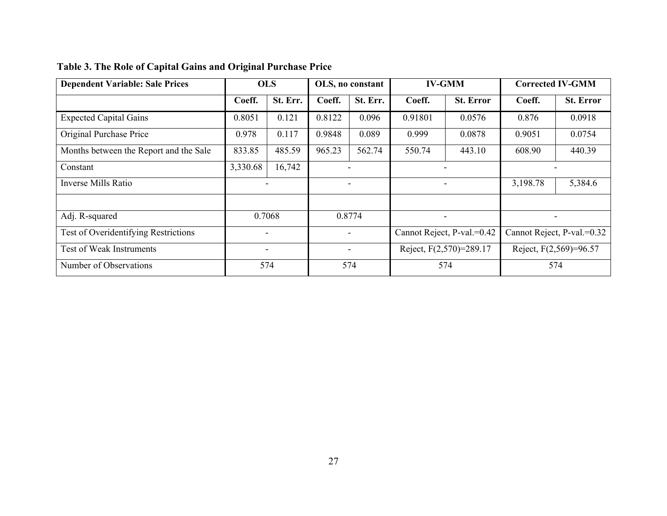| <b>Dependent Variable: Sale Prices</b> | <b>OLS</b> |          | OLS, no constant |          | <b>IV-GMM</b>              |                  | <b>Corrected IV-GMM</b>    |                  |  |
|----------------------------------------|------------|----------|------------------|----------|----------------------------|------------------|----------------------------|------------------|--|
|                                        | Coeff.     | St. Err. | Coeff.           | St. Err. | Coeff.                     | <b>St. Error</b> | Coeff.                     | <b>St. Error</b> |  |
| <b>Expected Capital Gains</b>          | 0.8051     | 0.121    | 0.8122           | 0.096    | 0.91801                    | 0.0576           | 0.876                      | 0.0918           |  |
| Original Purchase Price                | 0.978      | 0.117    | 0.9848           | 0.089    | 0.999                      | 0.0878           | 0.9051                     | 0.0754           |  |
| Months between the Report and the Sale | 833.85     | 485.59   | 965.23           | 562.74   | 550.74                     | 443.10           | 608.90                     | 440.39           |  |
| Constant                               | 3,330.68   | 16,742   |                  |          |                            |                  |                            |                  |  |
| Inverse Mills Ratio                    |            |          |                  |          |                            |                  | 3,198.78                   | 5,384.6          |  |
|                                        |            |          |                  |          |                            |                  |                            |                  |  |
| Adj. R-squared                         | 0.7068     |          | 0.8774           |          | $\overline{\phantom{a}}$   |                  | $\overline{\phantom{a}}$   |                  |  |
| Test of Overidentifying Restrictions   | -          |          |                  |          | Cannot Reject, P-val.=0.42 |                  | Cannot Reject, P-val.=0.32 |                  |  |
| <b>Test of Weak Instruments</b>        | ۰          |          |                  |          | Reject, F(2,570)=289.17    |                  | Reject, F(2,569)=96.57     |                  |  |
| Number of Observations                 | 574        |          |                  | 574      |                            | 574              |                            | 574              |  |

# **Table 3. The Role of Capital Gains and Original Purchase Price**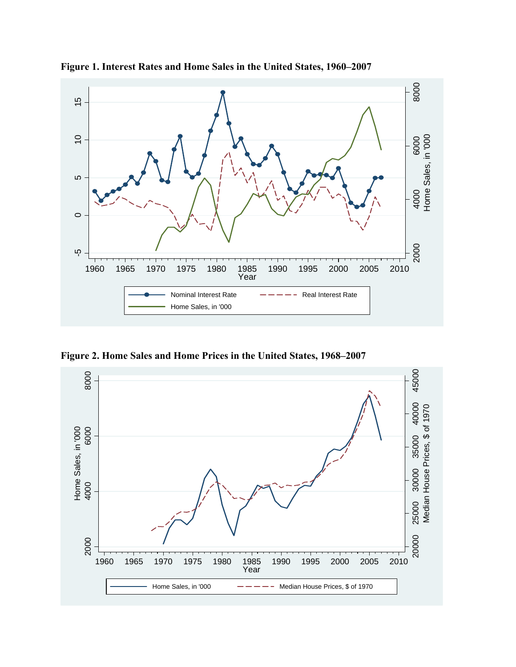

**Figure 1. Interest Rates and Home Sales in the United States, 1960–2007** 

**Figure 2. Home Sales and Home Prices in the United States, 1968–2007** 

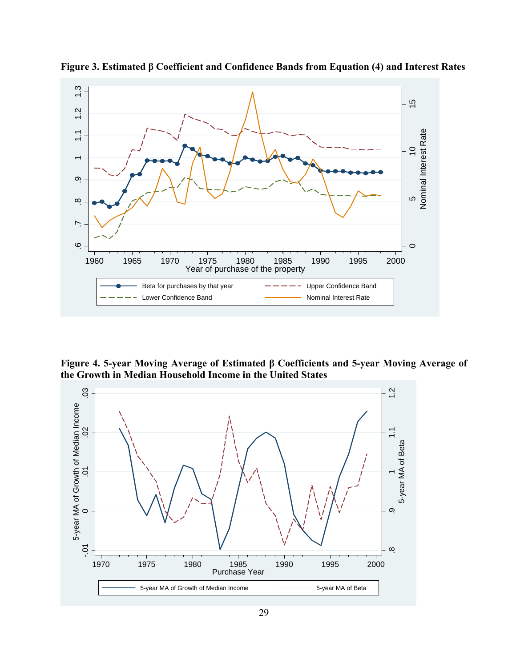

**Figure 3. Estimated β Coefficient and Confidence Bands from Equation (4) and Interest Rates** 

**Figure 4. 5-year Moving Average of Estimated β Coefficients and 5-year Moving Average of the Growth in Median Household Income in the United States**